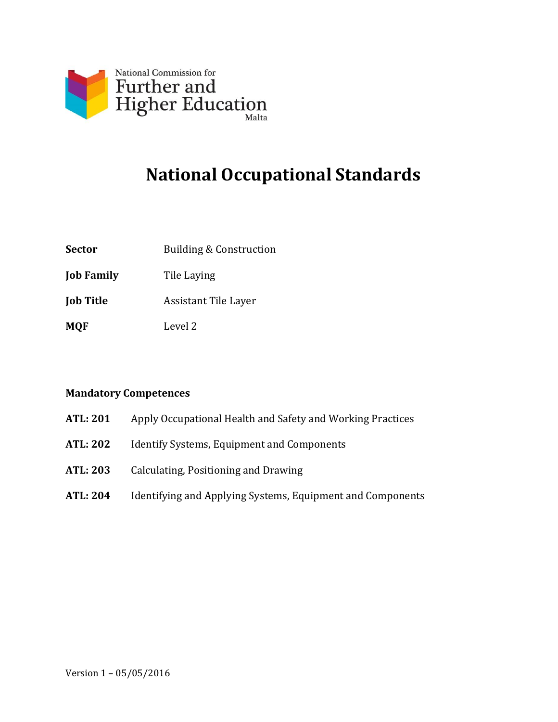

# **National Occupational Standards**

- **Sector** Building & Construction
- **Job Family** Tile Laying
- **Job Title** Assistant Tile Layer
- **MQF** Level 2

#### **Mandatory Competences**

- **ATL: 201** Apply Occupational Health and Safety and Working Practices
- **ATL: 202** Identify Systems, Equipment and Components
- **ATL: 203** Calculating, Positioning and Drawing
- **ATL: 204** Identifying and Applying Systems, Equipment and Components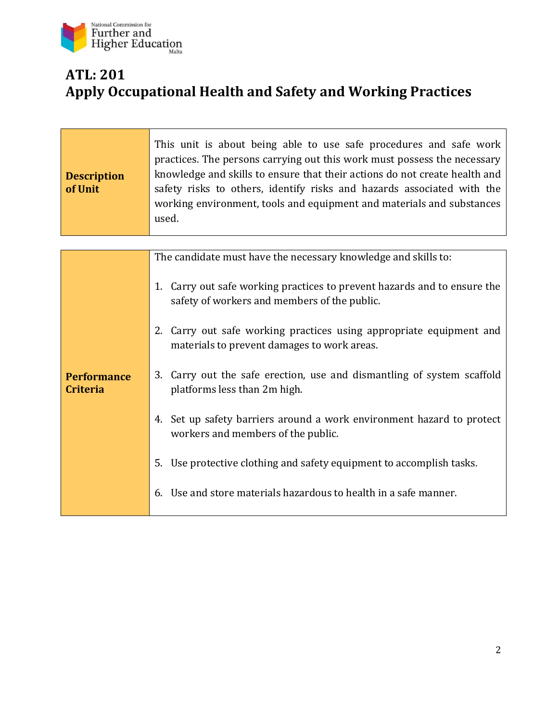

#### **ATL: 201 Apply Occupational Health and Safety and Working Practices**

| <b>Description</b><br>of Unit         | This unit is about being able to use safe procedures and safe work<br>practices. The persons carrying out this work must possess the necessary<br>knowledge and skills to ensure that their actions do not create health and<br>safety risks to others, identify risks and hazards associated with the<br>working environment, tools and equipment and materials and substances<br>used. |
|---------------------------------------|------------------------------------------------------------------------------------------------------------------------------------------------------------------------------------------------------------------------------------------------------------------------------------------------------------------------------------------------------------------------------------------|
|                                       |                                                                                                                                                                                                                                                                                                                                                                                          |
|                                       | The candidate must have the necessary knowledge and skills to:                                                                                                                                                                                                                                                                                                                           |
| <b>Performance</b><br><b>Criteria</b> | 1. Carry out safe working practices to prevent hazards and to ensure the<br>safety of workers and members of the public.                                                                                                                                                                                                                                                                 |
|                                       | 2. Carry out safe working practices using appropriate equipment and<br>materials to prevent damages to work areas.                                                                                                                                                                                                                                                                       |
|                                       | 3. Carry out the safe erection, use and dismantling of system scaffold<br>platforms less than 2m high.                                                                                                                                                                                                                                                                                   |
|                                       | 4. Set up safety barriers around a work environment hazard to protect<br>workers and members of the public.                                                                                                                                                                                                                                                                              |
|                                       | Use protective clothing and safety equipment to accomplish tasks.<br>5.                                                                                                                                                                                                                                                                                                                  |
|                                       | 6. Use and store materials hazardous to health in a safe manner.                                                                                                                                                                                                                                                                                                                         |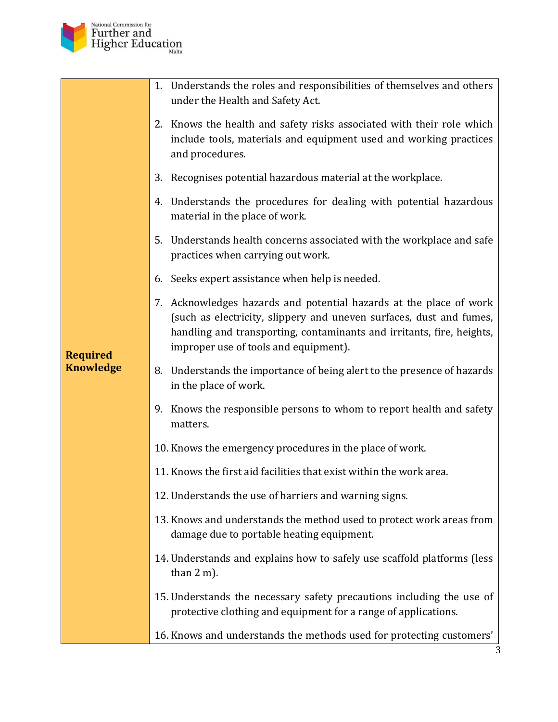

|                  | 1. Understands the roles and responsibilities of themselves and others<br>under the Health and Safety Act.                                                                                                                                                  |
|------------------|-------------------------------------------------------------------------------------------------------------------------------------------------------------------------------------------------------------------------------------------------------------|
|                  | 2. Knows the health and safety risks associated with their role which<br>include tools, materials and equipment used and working practices<br>and procedures.                                                                                               |
|                  | 3. Recognises potential hazardous material at the workplace.                                                                                                                                                                                                |
|                  | 4. Understands the procedures for dealing with potential hazardous<br>material in the place of work.                                                                                                                                                        |
|                  | 5. Understands health concerns associated with the workplace and safe<br>practices when carrying out work.                                                                                                                                                  |
|                  | 6. Seeks expert assistance when help is needed.                                                                                                                                                                                                             |
| <b>Required</b>  | 7. Acknowledges hazards and potential hazards at the place of work<br>(such as electricity, slippery and uneven surfaces, dust and fumes,<br>handling and transporting, contaminants and irritants, fire, heights,<br>improper use of tools and equipment). |
| <b>Knowledge</b> | 8. Understands the importance of being alert to the presence of hazards<br>in the place of work.                                                                                                                                                            |
|                  | 9. Knows the responsible persons to whom to report health and safety<br>matters.                                                                                                                                                                            |
|                  | 10. Knows the emergency procedures in the place of work.                                                                                                                                                                                                    |
|                  | 11. Knows the first aid facilities that exist within the work area.                                                                                                                                                                                         |
|                  | 12. Understands the use of barriers and warning signs.                                                                                                                                                                                                      |
|                  | 13. Knows and understands the method used to protect work areas from<br>damage due to portable heating equipment.                                                                                                                                           |
|                  | 14. Understands and explains how to safely use scaffold platforms (less<br>than $2 \text{ m}$ ).                                                                                                                                                            |
|                  | 15. Understands the necessary safety precautions including the use of<br>protective clothing and equipment for a range of applications.                                                                                                                     |
|                  | 16. Knows and understands the methods used for protecting customers'                                                                                                                                                                                        |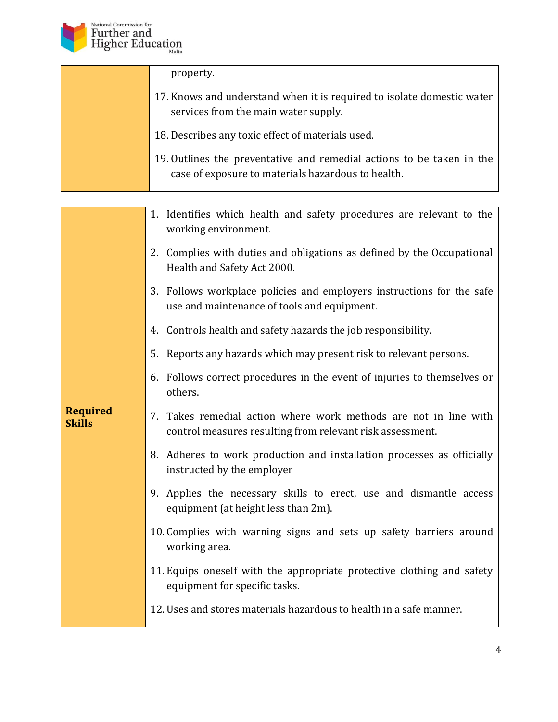

property.

- 17. Knows and understand when it is required to isolate domestic water services from the main water supply.
- 18. Describes any toxic effect of materials used.
- 19. Outlines the preventative and remedial actions to be taken in the case of exposure to materials hazardous to health.

|                                  | 1. Identifies which health and safety procedures are relevant to the<br>working environment.                                     |
|----------------------------------|----------------------------------------------------------------------------------------------------------------------------------|
|                                  | 2. Complies with duties and obligations as defined by the Occupational<br>Health and Safety Act 2000.                            |
|                                  | 3. Follows workplace policies and employers instructions for the safe<br>use and maintenance of tools and equipment.             |
|                                  | 4. Controls health and safety hazards the job responsibility.                                                                    |
|                                  | 5. Reports any hazards which may present risk to relevant persons.                                                               |
|                                  | 6. Follows correct procedures in the event of injuries to themselves or<br>others.                                               |
| <b>Required</b><br><b>Skills</b> | Takes remedial action where work methods are not in line with<br>7.<br>control measures resulting from relevant risk assessment. |
|                                  | 8. Adheres to work production and installation processes as officially<br>instructed by the employer                             |
|                                  | 9. Applies the necessary skills to erect, use and dismantle access<br>equipment (at height less than 2m).                        |
|                                  | 10. Complies with warning signs and sets up safety barriers around<br>working area.                                              |
|                                  | 11. Equips oneself with the appropriate protective clothing and safety<br>equipment for specific tasks.                          |
|                                  | 12. Uses and stores materials hazardous to health in a safe manner.                                                              |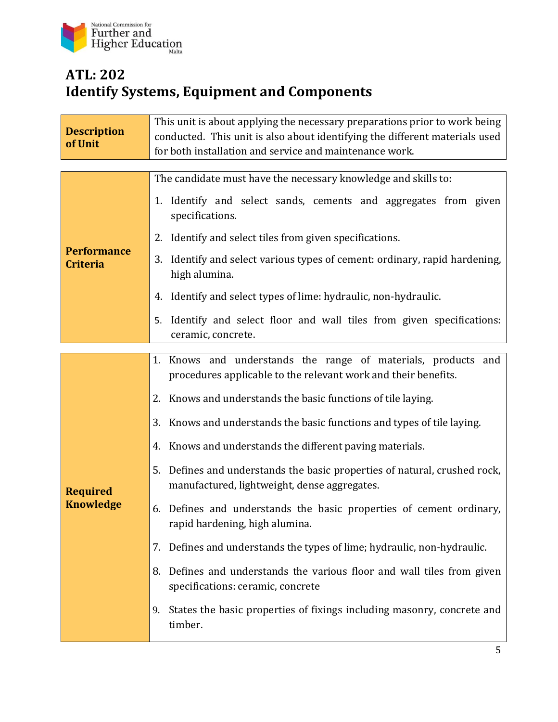

### **ATL: 202 Identify Systems, Equipment and Components**

| <b>Description</b><br>of Unit         | This unit is about applying the necessary preparations prior to work being<br>conducted. This unit is also about identifying the different materials used<br>for both installation and service and maintenance work.                                                                                                                                                                                                                                                                                                                                                                                                                                                                                                                                                                                                                                                            |
|---------------------------------------|---------------------------------------------------------------------------------------------------------------------------------------------------------------------------------------------------------------------------------------------------------------------------------------------------------------------------------------------------------------------------------------------------------------------------------------------------------------------------------------------------------------------------------------------------------------------------------------------------------------------------------------------------------------------------------------------------------------------------------------------------------------------------------------------------------------------------------------------------------------------------------|
| <b>Performance</b><br><b>Criteria</b> | The candidate must have the necessary knowledge and skills to:<br>1. Identify and select sands, cements and aggregates from given<br>specifications.<br>2. Identify and select tiles from given specifications.<br>3. Identify and select various types of cement: ordinary, rapid hardening,                                                                                                                                                                                                                                                                                                                                                                                                                                                                                                                                                                                   |
|                                       | high alumina.<br>Identify and select types of lime: hydraulic, non-hydraulic.<br>4.<br>Identify and select floor and wall tiles from given specifications:<br>5.<br>ceramic, concrete.                                                                                                                                                                                                                                                                                                                                                                                                                                                                                                                                                                                                                                                                                          |
| <b>Required</b><br><b>Knowledge</b>   | 1. Knows and understands the range of materials, products and<br>procedures applicable to the relevant work and their benefits.<br>Knows and understands the basic functions of tile laying.<br>2.<br>3. Knows and understands the basic functions and types of tile laying.<br>4. Knows and understands the different paving materials.<br>5.<br>Defines and understands the basic properties of natural, crushed rock,<br>manufactured, lightweight, dense aggregates.<br>Defines and understands the basic properties of cement ordinary,<br>6.<br>rapid hardening, high alumina.<br>Defines and understands the types of lime; hydraulic, non-hydraulic.<br>7.<br>Defines and understands the various floor and wall tiles from given<br>8.<br>specifications: ceramic, concrete<br>States the basic properties of fixings including masonry, concrete and<br>9.<br>timber. |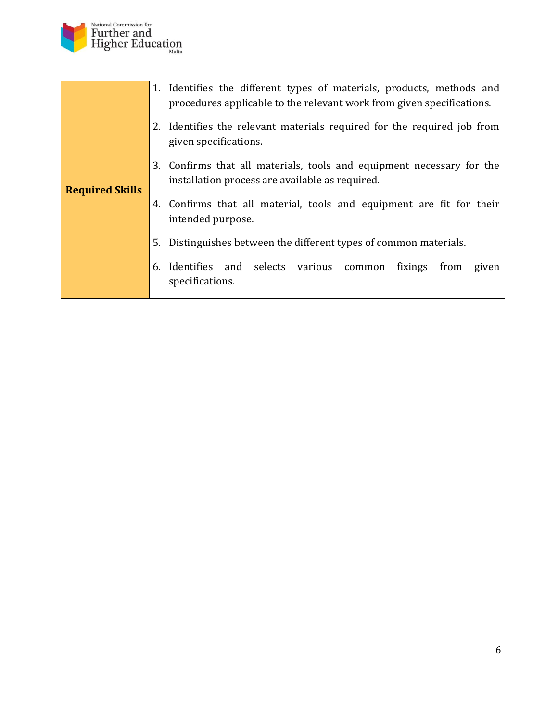

| 1. Identifies the different types of materials, products, methods and<br>procedures applicable to the relevant work from given specifications. |
|------------------------------------------------------------------------------------------------------------------------------------------------|
| 2. Identifies the relevant materials required for the required job from<br>given specifications.                                               |
| 3. Confirms that all materials, tools and equipment necessary for the<br>installation process are available as required.                       |
| 4. Confirms that all material, tools and equipment are fit for their<br>intended purpose.                                                      |
| 5. Distinguishes between the different types of common materials.                                                                              |
| Identifies and selects various<br>fixings<br>from<br>6.<br>given<br>common<br>specifications.                                                  |
|                                                                                                                                                |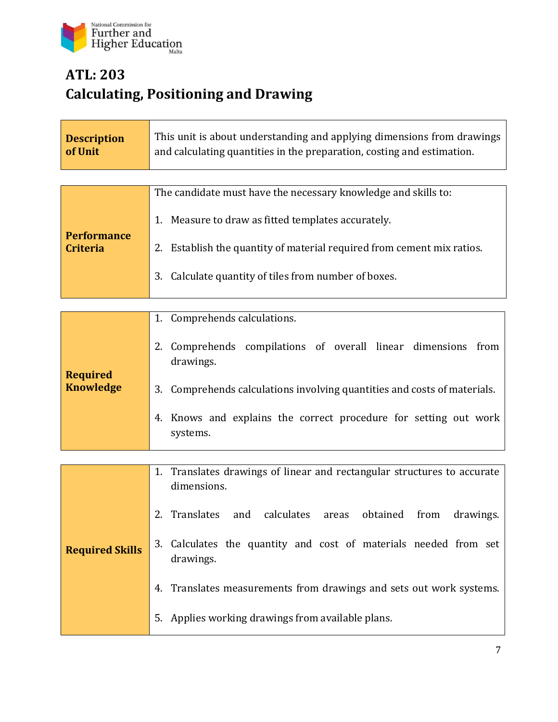

## **ATL: 203 Calculating, Positioning and Drawing**

| The candidate must have the necessary knowledge and skills to:         |
|------------------------------------------------------------------------|
| Measure to draw as fitted templates accurately.                        |
| 2. Establish the quantity of material required from cement mix ratios. |
| Calculate quantity of tiles from number of boxes.<br>3.                |
|                                                                        |

| <b>Required</b><br><b>Knowledge</b> | 1. Comprehends calculations.                                                 |
|-------------------------------------|------------------------------------------------------------------------------|
|                                     | Comprehends compilations of overall linear dimensions from<br>drawings.      |
|                                     | 3. Comprehends calculations involving quantities and costs of materials.     |
|                                     | 4. Knows and explains the correct procedure for setting out work<br>systems. |

|                        | 1. Translates drawings of linear and rectangular structures to accurate<br>dimensions.                                            |
|------------------------|-----------------------------------------------------------------------------------------------------------------------------------|
| <b>Required Skills</b> | 2. Translates and calculates areas obtained from<br>drawings.<br>3. Calculates the quantity and cost of materials needed from set |
|                        | drawings.                                                                                                                         |
|                        | Translates measurements from drawings and sets out work systems.                                                                  |
|                        | Applies working drawings from available plans.                                                                                    |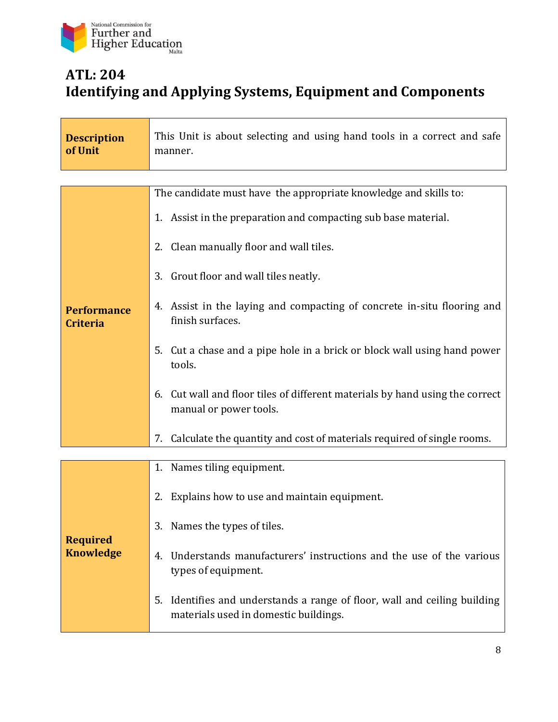

#### **ATL: 204 Identifying and Applying Systems, Equipment and Components**

| <b>Description</b><br>of Unit         | This Unit is about selecting and using hand tools in a correct and safe<br>manner.                                    |
|---------------------------------------|-----------------------------------------------------------------------------------------------------------------------|
|                                       |                                                                                                                       |
|                                       | The candidate must have the appropriate knowledge and skills to:                                                      |
|                                       | 1. Assist in the preparation and compacting sub base material.                                                        |
|                                       | 2. Clean manually floor and wall tiles.                                                                               |
|                                       | 3. Grout floor and wall tiles neatly.                                                                                 |
| <b>Performance</b><br><b>Criteria</b> | 4. Assist in the laying and compacting of concrete in-situ flooring and<br>finish surfaces.                           |
|                                       | 5.<br>Cut a chase and a pipe hole in a brick or block wall using hand power<br>tools.                                 |
|                                       | Cut wall and floor tiles of different materials by hand using the correct<br>6.<br>manual or power tools.             |
|                                       | Calculate the quantity and cost of materials required of single rooms.<br>7.                                          |
|                                       | 1. Names tiling equipment.                                                                                            |
| <b>Required</b><br><b>Knowledge</b>   | Explains how to use and maintain equipment.<br>2.                                                                     |
|                                       | Names the types of tiles.<br>3.                                                                                       |
|                                       | Understands manufacturers' instructions and the use of the various<br>4.<br>types of equipment.                       |
|                                       | Identifies and understands a range of floor, wall and ceiling building<br>5.<br>materials used in domestic buildings. |